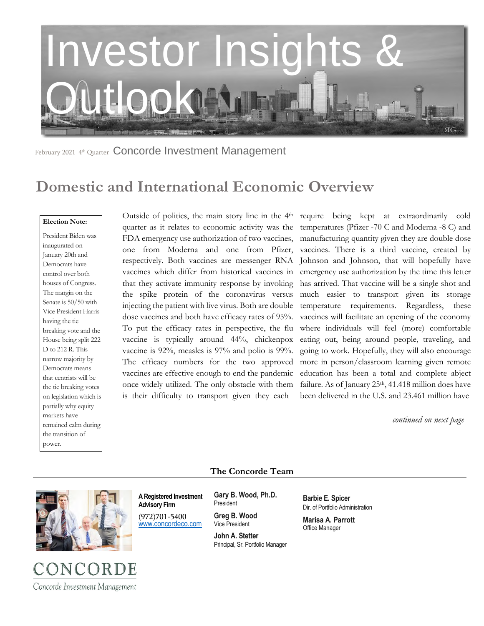

February 2021 4th Quarter Concorde Investment Management

## **Domestic and International Economic Overview**

#### **Election Note:**

President Biden was inaugurated on January 20th and Democrats have control over both houses of Congress. The margin on the Senate is 50/50 with Vice President Harris having the tie breaking vote and the House being split 222 D to 212 R. This narrow majority by Democrats means that centrists will be the tie breaking votes on legislation which is partially why equity markets have remained calm during the transition of power.

Outside of politics, the main story line in the 4<sup>th</sup> require being kept at extraordinarily cold quarter as it relates to economic activity was the FDA emergency use authorization of two vaccines, one from Moderna and one from Pfizer, respectively. Both vaccines are messenger RNA vaccines which differ from historical vaccines in that they activate immunity response by invoking the spike protein of the coronavirus versus injecting the patient with live virus. Both are double dose vaccines and both have efficacy rates of 95%. To put the efficacy rates in perspective, the flu vaccine is typically around 44%, chickenpox vaccine is 92%, measles is 97% and polio is 99%. The efficacy numbers for the two approved vaccines are effective enough to end the pandemic once widely utilized. The only obstacle with them is their difficulty to transport given they each

temperatures (Pfizer -70 C and Moderna -8 C) and manufacturing quantity given they are double dose vaccines. There is a third vaccine, created by Johnson and Johnson, that will hopefully have emergency use authorization by the time this letter has arrived. That vaccine will be a single shot and much easier to transport given its storage temperature requirements. Regardless, these vaccines will facilitate an opening of the economy where individuals will feel (more) comfortable eating out, being around people, traveling, and going to work. Hopefully, they will also encourage more in person/classroom learning given remote education has been a total and complete abject failure. As of January 25<sup>th</sup>, 41.418 million does have been delivered in the U.S. and 23.461 million have

 *continued on next page* 

### **The Concorde Team**



**A Registered Investment Advisory Firm** 

(972)701-5400 [www.concordeco.com](http://www.concordeco.com/) **Gary B. Wood, Ph.D.** President

**Greg B. Wood** Vice President

**John A. Stetter**  Principal, Sr. Portfolio Manager **Barbie E. Spicer**  Dir. of Portfolio Administration

**Marisa A. Parrott** Office Manager

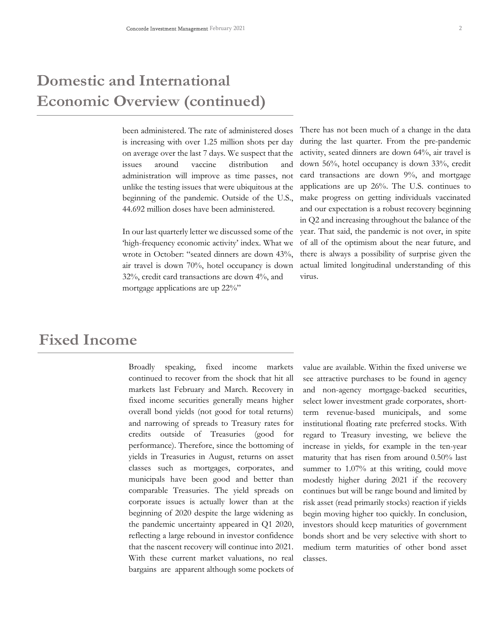# **Domestic and International Economic Overview (continued)**

been administered. The rate of administered doses is increasing with over 1.25 million shots per day on average over the last 7 days. We suspect that the issues around vaccine distribution and administration will improve as time passes, not unlike the testing issues that were ubiquitous at the beginning of the pandemic. Outside of the U.S., 44.692 million doses have been administered.

In our last quarterly letter we discussed some of the 'high-frequency economic activity' index. What we wrote in October: "seated dinners are down 43%, air travel is down 70%, hotel occupancy is down 32%, credit card transactions are down 4%, and mortgage applications are up 22%"

There has not been much of a change in the data during the last quarter. From the pre-pandemic activity, seated dinners are down 64%, air travel is down 56%, hotel occupancy is down 33%, credit card transactions are down 9%, and mortgage applications are up 26%. The U.S. continues to make progress on getting individuals vaccinated and our expectation is a robust recovery beginning in Q2 and increasing throughout the balance of the year. That said, the pandemic is not over, in spite of all of the optimism about the near future, and there is always a possibility of surprise given the actual limited longitudinal understanding of this virus.

### **Fixed Income**

Broadly speaking, fixed income markets continued to recover from the shock that hit all markets last February and March. Recovery in fixed income securities generally means higher overall bond yields (not good for total returns) and narrowing of spreads to Treasury rates for credits outside of Treasuries (good for performance). Therefore, since the bottoming of yields in Treasuries in August, returns on asset classes such as mortgages, corporates, and municipals have been good and better than comparable Treasuries. The yield spreads on corporate issues is actually lower than at the beginning of 2020 despite the large widening as the pandemic uncertainty appeared in Q1 2020, reflecting a large rebound in investor confidence that the nascent recovery will continue into 2021. With these current market valuations, no real bargains are apparent although some pockets of

value are available. Within the fixed universe we see attractive purchases to be found in agency and non-agency mortgage-backed securities, select lower investment grade corporates, shortterm revenue-based municipals, and some institutional floating rate preferred stocks. With regard to Treasury investing, we believe the increase in yields, for example in the ten-year maturity that has risen from around 0.50% last summer to 1.07% at this writing, could move modestly higher during 2021 if the recovery continues but will be range bound and limited by risk asset (read primarily stocks) reaction if yields begin moving higher too quickly. In conclusion, investors should keep maturities of government bonds short and be very selective with short to medium term maturities of other bond asset classes.